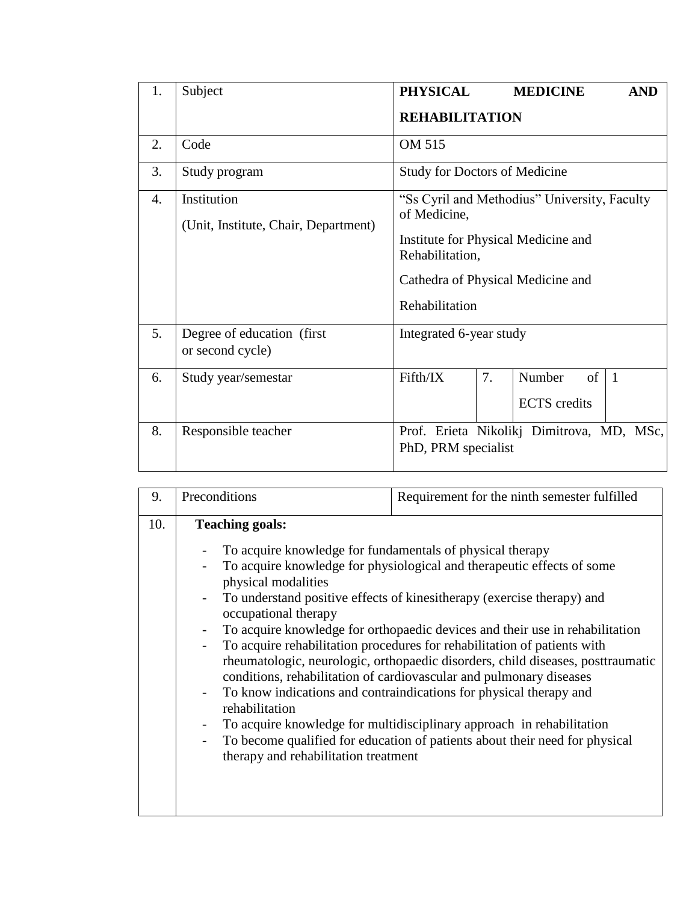| 1.               | Subject                                             | <b>PHYSICAL</b>                                                                                                                                                               |    | <b>MEDICINE</b>                     | <b>AND</b>     |  |  |
|------------------|-----------------------------------------------------|-------------------------------------------------------------------------------------------------------------------------------------------------------------------------------|----|-------------------------------------|----------------|--|--|
|                  |                                                     | <b>REHABILITATION</b>                                                                                                                                                         |    |                                     |                |  |  |
| 2.               | Code                                                | OM 515                                                                                                                                                                        |    |                                     |                |  |  |
| 3.               | Study program                                       | <b>Study for Doctors of Medicine</b>                                                                                                                                          |    |                                     |                |  |  |
| $\overline{4}$ . | Institution<br>(Unit, Institute, Chair, Department) | "Ss Cyril and Methodius" University, Faculty<br>of Medicine,<br>Institute for Physical Medicine and<br>Rehabilitation,<br>Cathedra of Physical Medicine and<br>Rehabilitation |    |                                     |                |  |  |
| 5.               | Degree of education (first)<br>or second cycle)     | Integrated 6-year study                                                                                                                                                       |    |                                     |                |  |  |
| 6.               | Study year/semestar                                 | Fifth/IX                                                                                                                                                                      | 7. | Number<br>of<br><b>ECTS</b> credits | $\overline{1}$ |  |  |
| 8.               | Responsible teacher                                 | Prof. Erieta Nikolikj Dimitrova, MD, MSc,<br>PhD, PRM specialist                                                                                                              |    |                                     |                |  |  |

| 9.  | Preconditions                                                                                                                                                                                                | Requirement for the ninth semester fulfilled                                                                                                                                                                                                                                                                                                                                                                                                                                                                                                 |
|-----|--------------------------------------------------------------------------------------------------------------------------------------------------------------------------------------------------------------|----------------------------------------------------------------------------------------------------------------------------------------------------------------------------------------------------------------------------------------------------------------------------------------------------------------------------------------------------------------------------------------------------------------------------------------------------------------------------------------------------------------------------------------------|
| 10. | <b>Teaching goals:</b><br>To acquire knowledge for fundamentals of physical therapy<br>physical modalities<br>occupational therapy<br>$\overline{\phantom{0}}$<br>$\overline{\phantom{0}}$<br>rehabilitation | To acquire knowledge for physiological and therapeutic effects of some<br>To understand positive effects of kinesitherapy (exercise therapy) and<br>To acquire knowledge for orthopaedic devices and their use in rehabilitation<br>To acquire rehabilitation procedures for rehabilitation of patients with<br>rheumatologic, neurologic, orthopaedic disorders, child diseases, posttraumatic<br>conditions, rehabilitation of cardiovascular and pulmonary diseases<br>To know indications and contraindications for physical therapy and |
|     | $\overline{\phantom{0}}$<br>therapy and rehabilitation treatment                                                                                                                                             | To acquire knowledge for multidisciplinary approach in rehabilitation<br>To become qualified for education of patients about their need for physical                                                                                                                                                                                                                                                                                                                                                                                         |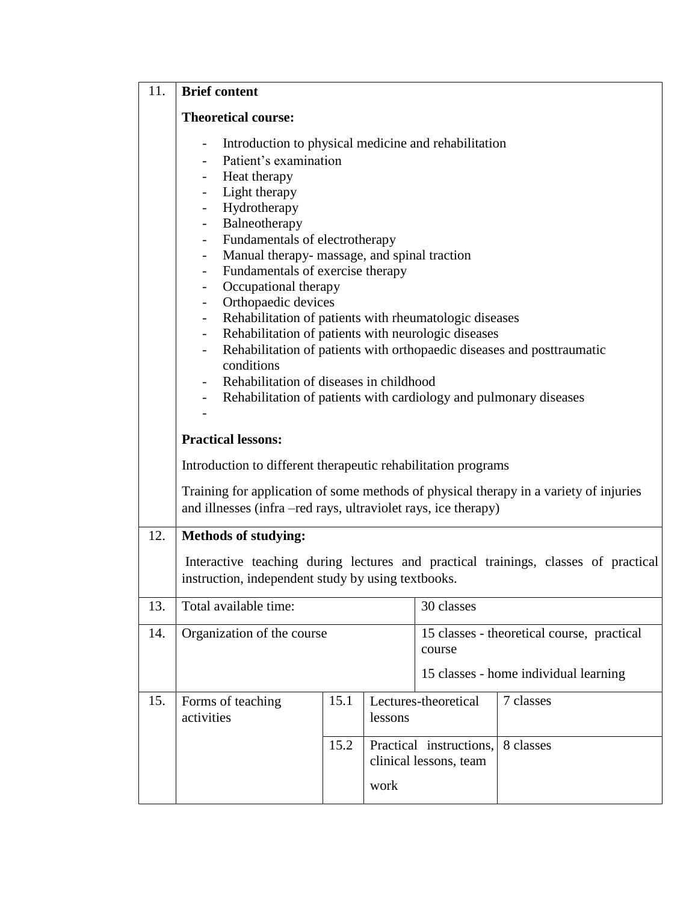| 11. | <b>Brief content</b>                                                                                                                                                                                                                                                                                                                                                                                                                                                                                                                                                                                                                                                                                                                                                                                                                                                                                                                                                                               |      |      |                                                   |                                                                                    |  |  |  |
|-----|----------------------------------------------------------------------------------------------------------------------------------------------------------------------------------------------------------------------------------------------------------------------------------------------------------------------------------------------------------------------------------------------------------------------------------------------------------------------------------------------------------------------------------------------------------------------------------------------------------------------------------------------------------------------------------------------------------------------------------------------------------------------------------------------------------------------------------------------------------------------------------------------------------------------------------------------------------------------------------------------------|------|------|---------------------------------------------------|------------------------------------------------------------------------------------|--|--|--|
|     | <b>Theoretical course:</b>                                                                                                                                                                                                                                                                                                                                                                                                                                                                                                                                                                                                                                                                                                                                                                                                                                                                                                                                                                         |      |      |                                                   |                                                                                    |  |  |  |
|     | Introduction to physical medicine and rehabilitation<br>$\overline{\phantom{a}}$<br>Patient's examination<br>Heat therapy<br>$\overline{\phantom{a}}$<br>Light therapy<br>$\overline{\phantom{a}}$<br>Hydrotherapy<br>$\overline{\phantom{a}}$<br>Balneotherapy<br>$\sim$ $-$<br>Fundamentals of electrotherapy<br>$\sim$ $-$<br>Manual therapy- massage, and spinal traction<br>$\overline{\phantom{0}}$<br>Fundamentals of exercise therapy<br>$\overline{\phantom{a}}$<br>Occupational therapy<br>-<br>Orthopaedic devices<br>$\overline{\phantom{a}}$<br>Rehabilitation of patients with rheumatologic diseases<br>$\overline{\phantom{a}}$<br>Rehabilitation of patients with neurologic diseases<br>$\overline{\phantom{a}}$<br>Rehabilitation of patients with orthopaedic diseases and posttraumatic<br>$\overline{\phantom{a}}$<br>conditions<br>Rehabilitation of diseases in childhood<br>Rehabilitation of patients with cardiology and pulmonary diseases<br>$\overline{\phantom{a}}$ |      |      |                                                   |                                                                                    |  |  |  |
|     | <b>Practical lessons:</b><br>Introduction to different therapeutic rehabilitation programs<br>Training for application of some methods of physical therapy in a variety of injuries<br>and illnesses (infra-red rays, ultraviolet rays, ice therapy)                                                                                                                                                                                                                                                                                                                                                                                                                                                                                                                                                                                                                                                                                                                                               |      |      |                                                   |                                                                                    |  |  |  |
| 12. | <b>Methods of studying:</b>                                                                                                                                                                                                                                                                                                                                                                                                                                                                                                                                                                                                                                                                                                                                                                                                                                                                                                                                                                        |      |      |                                                   |                                                                                    |  |  |  |
|     | instruction, independent study by using textbooks.                                                                                                                                                                                                                                                                                                                                                                                                                                                                                                                                                                                                                                                                                                                                                                                                                                                                                                                                                 |      |      |                                                   | Interactive teaching during lectures and practical trainings, classes of practical |  |  |  |
| 13. | Total available time:                                                                                                                                                                                                                                                                                                                                                                                                                                                                                                                                                                                                                                                                                                                                                                                                                                                                                                                                                                              |      |      | 30 classes                                        |                                                                                    |  |  |  |
| 14. | Organization of the course<br>course                                                                                                                                                                                                                                                                                                                                                                                                                                                                                                                                                                                                                                                                                                                                                                                                                                                                                                                                                               |      |      |                                                   | 15 classes - theoretical course, practical                                         |  |  |  |
|     | 15 classes - home individual learning                                                                                                                                                                                                                                                                                                                                                                                                                                                                                                                                                                                                                                                                                                                                                                                                                                                                                                                                                              |      |      |                                                   |                                                                                    |  |  |  |
| 15. | 15.1<br>Forms of teaching<br>activities<br>lessons                                                                                                                                                                                                                                                                                                                                                                                                                                                                                                                                                                                                                                                                                                                                                                                                                                                                                                                                                 |      |      | Lectures-theoretical<br>7 classes                 |                                                                                    |  |  |  |
|     |                                                                                                                                                                                                                                                                                                                                                                                                                                                                                                                                                                                                                                                                                                                                                                                                                                                                                                                                                                                                    | 15.2 | work | Practical instructions,<br>clinical lessons, team | 8 classes                                                                          |  |  |  |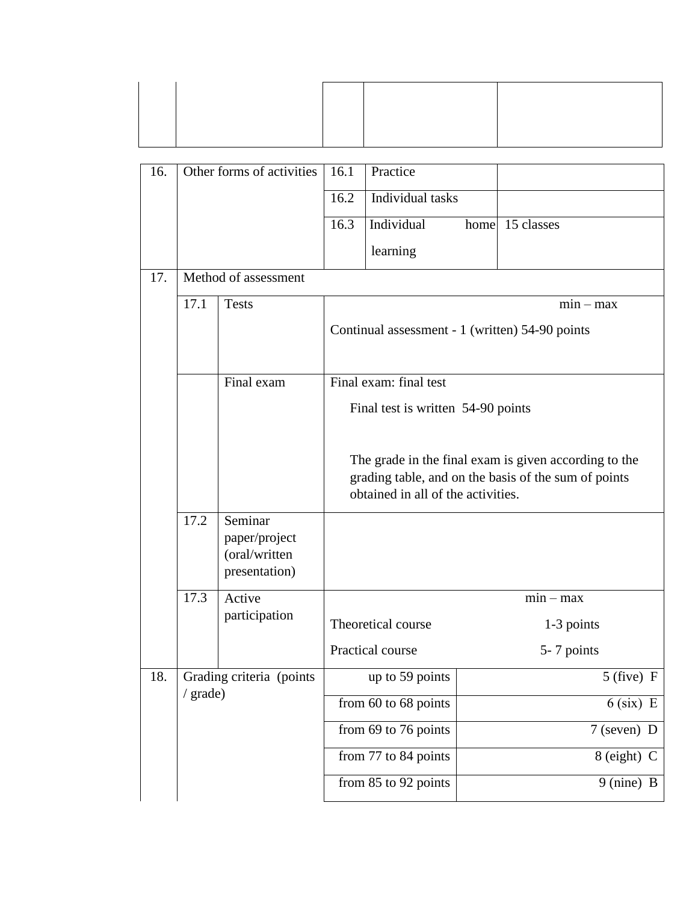| 16. | Other forms of activities            |                                                            | 16.1                                                                                                                                                | Practice                 |                    |  |  |
|-----|--------------------------------------|------------------------------------------------------------|-----------------------------------------------------------------------------------------------------------------------------------------------------|--------------------------|--------------------|--|--|
|     |                                      |                                                            | 16.2                                                                                                                                                | Individual tasks         |                    |  |  |
|     |                                      |                                                            | 16.3                                                                                                                                                | Individual               | 15 classes<br>home |  |  |
|     |                                      |                                                            |                                                                                                                                                     | learning                 |                    |  |  |
| 17. |                                      | Method of assessment                                       |                                                                                                                                                     |                          |                    |  |  |
|     | 17.1                                 | <b>Tests</b>                                               | $min - max$                                                                                                                                         |                          |                    |  |  |
|     |                                      |                                                            | Continual assessment - 1 (written) 54-90 points                                                                                                     |                          |                    |  |  |
|     |                                      | Final exam                                                 |                                                                                                                                                     | Final exam: final test   |                    |  |  |
|     |                                      |                                                            | Final test is written 54-90 points                                                                                                                  |                          |                    |  |  |
|     |                                      |                                                            | The grade in the final exam is given according to the<br>grading table, and on the basis of the sum of points<br>obtained in all of the activities. |                          |                    |  |  |
|     | 17.2                                 | Seminar<br>paper/project<br>(oral/written<br>presentation) |                                                                                                                                                     |                          |                    |  |  |
|     | 17.3                                 | Active                                                     |                                                                                                                                                     |                          | $min - max$        |  |  |
|     |                                      | participation                                              |                                                                                                                                                     | Theoretical course       | 1-3 points         |  |  |
|     |                                      |                                                            |                                                                                                                                                     | Practical course         | 5-7 points         |  |  |
| 18. | Grading criteria (points<br>/ grade) |                                                            |                                                                                                                                                     | up to 59 points          | $5$ (five) F       |  |  |
|     |                                      |                                                            |                                                                                                                                                     | from $60$ to $68$ points | $6$ (six) E        |  |  |
|     |                                      |                                                            |                                                                                                                                                     | from 69 to 76 points     | $7$ (seven) D      |  |  |
|     |                                      |                                                            |                                                                                                                                                     | from 77 to 84 points     | 8 (eight) C        |  |  |
|     |                                      |                                                            |                                                                                                                                                     | from 85 to 92 points     | 9 (nine) B         |  |  |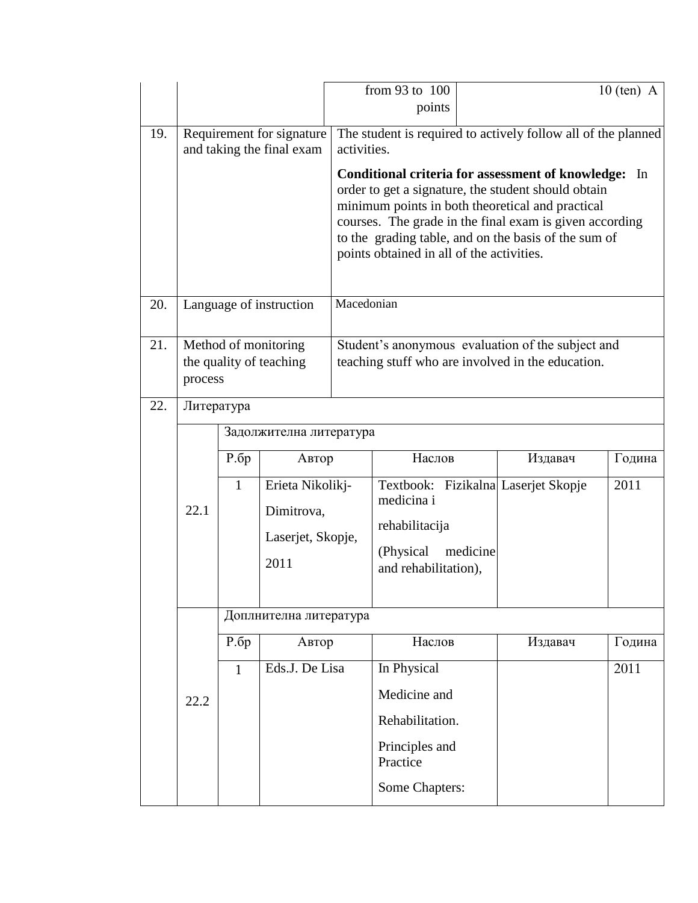|     |                                                 |              |                         | from 93 to 100                                                |                                                                                                         | $10$ (ten) A |        |  |  |
|-----|-------------------------------------------------|--------------|-------------------------|---------------------------------------------------------------|---------------------------------------------------------------------------------------------------------|--------------|--------|--|--|
|     |                                                 |              |                         |                                                               | points                                                                                                  |              |        |  |  |
| 19. | Requirement for signature                       |              |                         | The student is required to actively follow all of the planned |                                                                                                         |              |        |  |  |
|     | and taking the final exam                       |              |                         | activities.                                                   |                                                                                                         |              |        |  |  |
|     |                                                 |              |                         |                                                               | <b>Conditional criteria for assessment of knowledge:</b>                                                |              | In     |  |  |
|     |                                                 |              |                         |                                                               | order to get a signature, the student should obtain<br>minimum points in both theoretical and practical |              |        |  |  |
|     |                                                 |              |                         |                                                               | courses. The grade in the final exam is given according                                                 |              |        |  |  |
|     |                                                 |              |                         |                                                               | to the grading table, and on the basis of the sum of<br>points obtained in all of the activities.       |              |        |  |  |
|     |                                                 |              |                         |                                                               |                                                                                                         |              |        |  |  |
|     |                                                 |              |                         |                                                               |                                                                                                         |              |        |  |  |
| 20. |                                                 |              | Language of instruction | Macedonian                                                    |                                                                                                         |              |        |  |  |
| 21. |                                                 |              |                         |                                                               | Student's anonymous evaluation of the subject and                                                       |              |        |  |  |
|     | Method of monitoring<br>the quality of teaching |              |                         |                                                               | teaching stuff who are involved in the education.                                                       |              |        |  |  |
|     | process                                         |              |                         |                                                               |                                                                                                         |              |        |  |  |
| 22. | Литература                                      |              |                         |                                                               |                                                                                                         |              |        |  |  |
|     |                                                 |              | Задолжителна литература |                                                               |                                                                                                         |              |        |  |  |
|     |                                                 | P.6p         | Автор                   |                                                               | Наслов                                                                                                  | Издавач      | Година |  |  |
|     |                                                 | $\mathbf{1}$ | Erieta Nikolikj-        |                                                               | Textbook: Fizikalna Laserjet Skopje                                                                     |              | 2011   |  |  |
|     | 22.1                                            |              | Dimitrova,              |                                                               | medicina i                                                                                              |              |        |  |  |
|     |                                                 |              |                         |                                                               | rehabilitacija                                                                                          |              |        |  |  |
|     |                                                 |              | Laserjet, Skopje,       |                                                               | (Physical)<br>medicine                                                                                  |              |        |  |  |
|     |                                                 |              | 2011                    |                                                               | and rehabilitation),                                                                                    |              |        |  |  |
|     |                                                 |              |                         |                                                               |                                                                                                         |              |        |  |  |
|     |                                                 |              | Доплнителна литература  |                                                               |                                                                                                         |              |        |  |  |
|     |                                                 | P.6p         | Автор                   |                                                               | Наслов                                                                                                  | Издавач      | Година |  |  |
|     |                                                 | $\mathbf{1}$ | Eds.J. De Lisa          |                                                               | In Physical                                                                                             |              | 2011   |  |  |
|     | 22.2                                            |              |                         |                                                               | Medicine and                                                                                            |              |        |  |  |
|     |                                                 |              |                         | Rehabilitation.                                               |                                                                                                         |              |        |  |  |
|     |                                                 |              |                         |                                                               | Principles and<br>Practice                                                                              |              |        |  |  |
|     |                                                 |              |                         |                                                               | Some Chapters:                                                                                          |              |        |  |  |